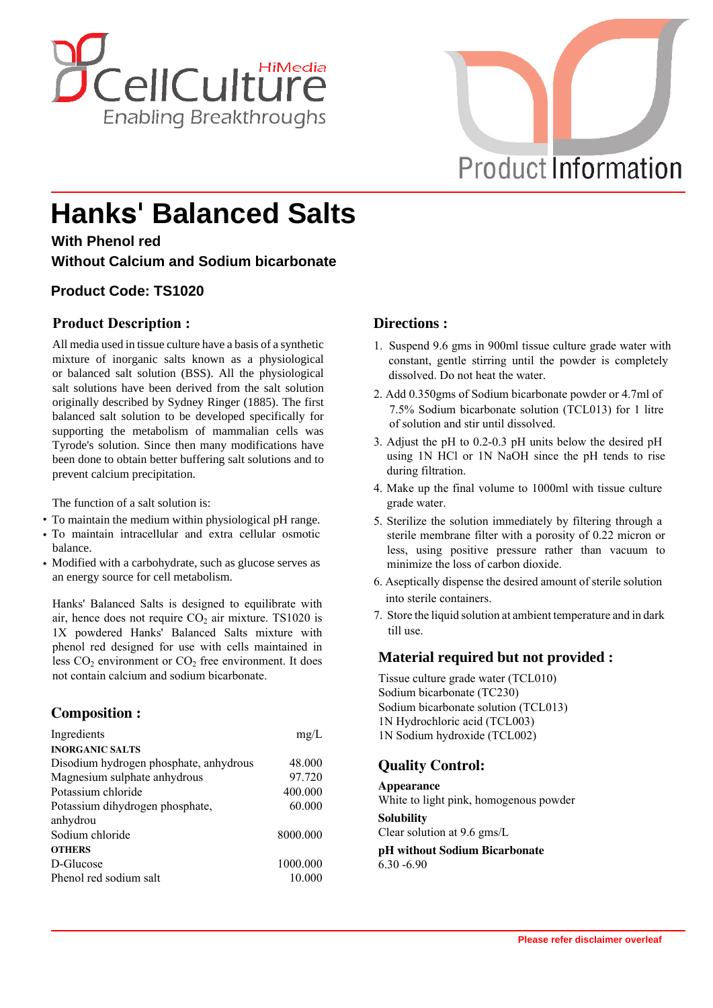



# **Hanks' Balanced Salts**

#### **With Phenol red**

**Without Calcium and Sodium bicarbonate**

### **Product Code: TS1020**

#### **Product Description :**

All media used in tissue culture have a basis of a synthetic mixture of inorganic salts known as a physiological or balanced salt solution (BSS). All the physiological salt solutions have been derived from the salt solution originally described by Sydney Ringer (1885). The first balanced salt solution to be developed specifically for supporting the metabolism of mammalian cells was Tyrode's solution. Since then many modifications have been done to obtain better buffering salt solutions and to prevent calcium precipitation.

The function of a salt solution is:

- **·** To maintain the medium within physiological pH range.
- **·** To maintain intracellular and extra cellular osmotic balance.
- **·** Modified with a carbohydrate, such as glucose serves as an energy source for cell metabolism.

Hanks' Balanced Salts is designed to equilibrate with air, hence does not require  $CO<sub>2</sub>$  air mixture. TS1020 is 1X powdered Hanks' Balanced Salts mixture with phenol red designed for use with cells maintained in less  $CO<sub>2</sub>$  environment or  $CO<sub>2</sub>$  free environment. It does not contain calcium and sodium bicarbonate.

#### **Composition :**

| Ingredients                            | mg/L     |
|----------------------------------------|----------|
| <b>INORGANIC SALTS</b>                 |          |
| Disodium hydrogen phosphate, anhydrous | 48.000   |
| Magnesium sulphate anhydrous           | 97.720   |
| Potassium chloride                     | 400.000  |
| Potassium dihydrogen phosphate,        | 60.000   |
| anhydrou                               |          |
| Sodium chloride                        | 8000.000 |
| <b>OTHERS</b>                          |          |
| D-Glucose                              | 1000.000 |
| Phenol red sodium salt                 | 10.000   |

#### **Directions :**

- 1. Suspend 9.6 gms in 900ml tissue culture grade water with constant, gentle stirring until the powder is completely dissolved. Do not heat the water.
- 2. Add 0.350gms of Sodium bicarbonate powder or 4.7ml of 7.5% Sodium bicarbonate solution (TCL013) for 1 litre of solution and stir until dissolved.
- 3. Adjust the pH to 0.2-0.3 pH units below the desired pH using 1N HCl or 1N NaOH since the pH tends to rise during filtration.
- 4. Make up the final volume to 1000ml with tissue culture grade water.
- 5. Sterilize the solution immediately by filtering through a sterile membrane filter with a porosity of 0.22 micron or less, using positive pressure rather than vacuum to minimize the loss of carbon dioxide.
- 6. Aseptically dispense the desired amount of sterile solution into sterile containers.
- 7. Store the liquid solution at ambient temperature and in dark till use.

#### **Material required but not provided :**

Tissue culture grade water (TCL010) Sodium bicarbonate (TC230) Sodium bicarbonate solution (TCL013) 1N Hydrochloric acid (TCL003) 1N Sodium hydroxide (TCL002)

## **Quality Control:**

**Appearance** White to light pink, homogenous powder **Solubility** Clear solution at 9.6 gms/L

**pH without Sodium Bicarbonate** 6.30 -6.90